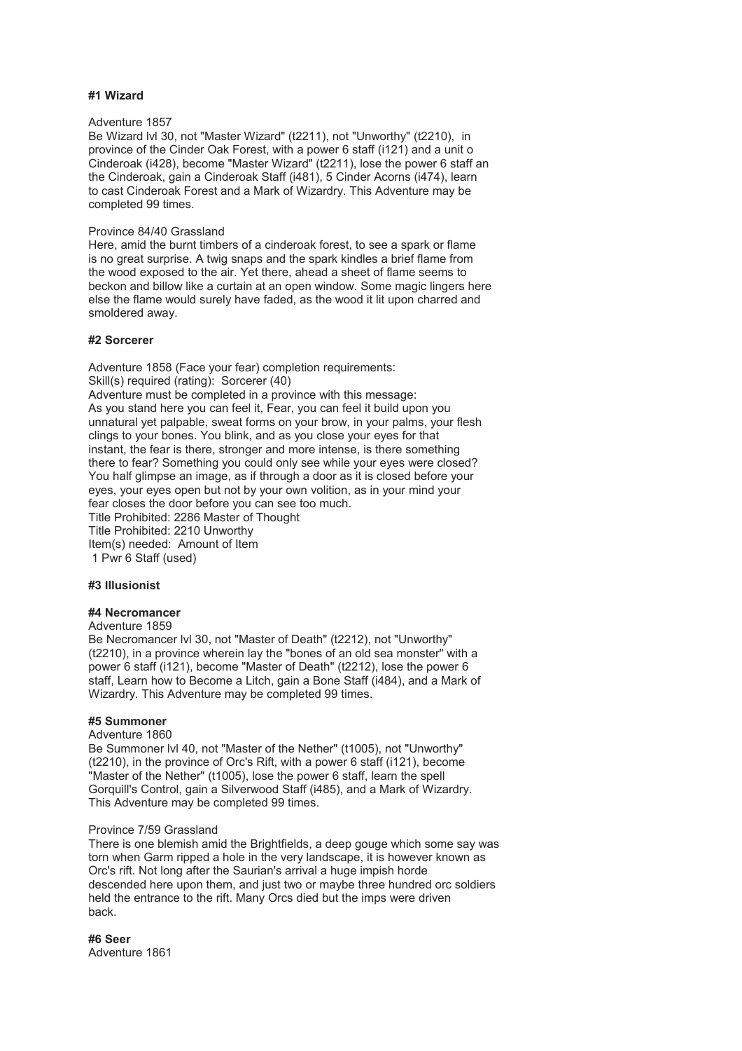# **#1 Wizard**

# Adventure 1857

Be Wizard lvl 30, not "Master Wizard" (t2211), not "Unworthy" (t2210), in province of the Cinder Oak Forest, with a power 6 staff (i121) and a unit o Cinderoak (i428), become "Master Wizard" (t2211), lose the power 6 staff an the Cinderoak, gain a Cinderoak Staff (i481), 5 Cinder Acorns (i474), learn to cast Cinderoak Forest and a Mark of Wizardry. This Adventure may be completed 99 times.

## Province 84/40 Grassland

Here, amid the burnt timbers of a cinderoak forest, to see a spark or flame is no great surprise. A twig snaps and the spark kindles a brief flame from the wood exposed to the air. Yet there, ahead a sheet of flame seems to beckon and billow like a curtain at an open window. Some magic lingers here else the flame would surely have faded, as the wood it lit upon charred and smoldered away.

# **#2 Sorcerer**

Adventure 1858 (Face your fear) completion requirements: Skill(s) required (rating): Sorcerer (40) Adventure must be completed in a province with this message: As you stand here you can feel it, Fear, you can feel it build upon you unnatural yet palpable, sweat forms on your brow, in your palms, your flesh clings to your bones. You blink, and as you close your eyes for that instant, the fear is there, stronger and more intense, is there something there to fear? Something you could only see while your eyes were closed? You half glimpse an image, as if through a door as it is closed before your eyes, your eyes open but not by your own volition, as in your mind your fear closes the door before you can see too much. Title Prohibited: 2286 Master of Thought Title Prohibited: 2210 Unworthy Item(s) needed: Amount of Item 1 Pwr 6 Staff (used)

# **#3 Illusionist**

# **#4 Necromancer**

## Adventure 1859

Be Necromancer lvl 30, not "Master of Death" (t2212), not "Unworthy" (t2210), in a province wherein lay the "bones of an old sea monster" with a power 6 staff (i121), become "Master of Death" (t2212), lose the power 6 staff, Learn how to Become a Litch, gain a Bone Staff (i484), and a Mark of Wizardry. This Adventure may be completed 99 times.

# **#5 Summoner**

#### Adventure 1860

Be Summoner lvl 40, not "Master of the Nether" (t1005), not "Unworthy" (t2210), in the province of Orc's Rift, with a power 6 staff (i121), become "Master of the Nether" (t1005), lose the power 6 staff, learn the spell Gorquill's Control, gain a Silverwood Staff (i485), and a Mark of Wizardry. This Adventure may be completed 99 times.

#### Province 7/59 Grassland

There is one blemish amid the Brightfields, a deep gouge which some say was torn when Garm ripped a hole in the very landscape, it is however known as Orc's rift. Not long after the Saurian's arrival a huge impish horde descended here upon them, and just two or maybe three hundred orc soldiers held the entrance to the rift. Many Orcs died but the imps were driven back.

**#6 Seer** Adventure 1861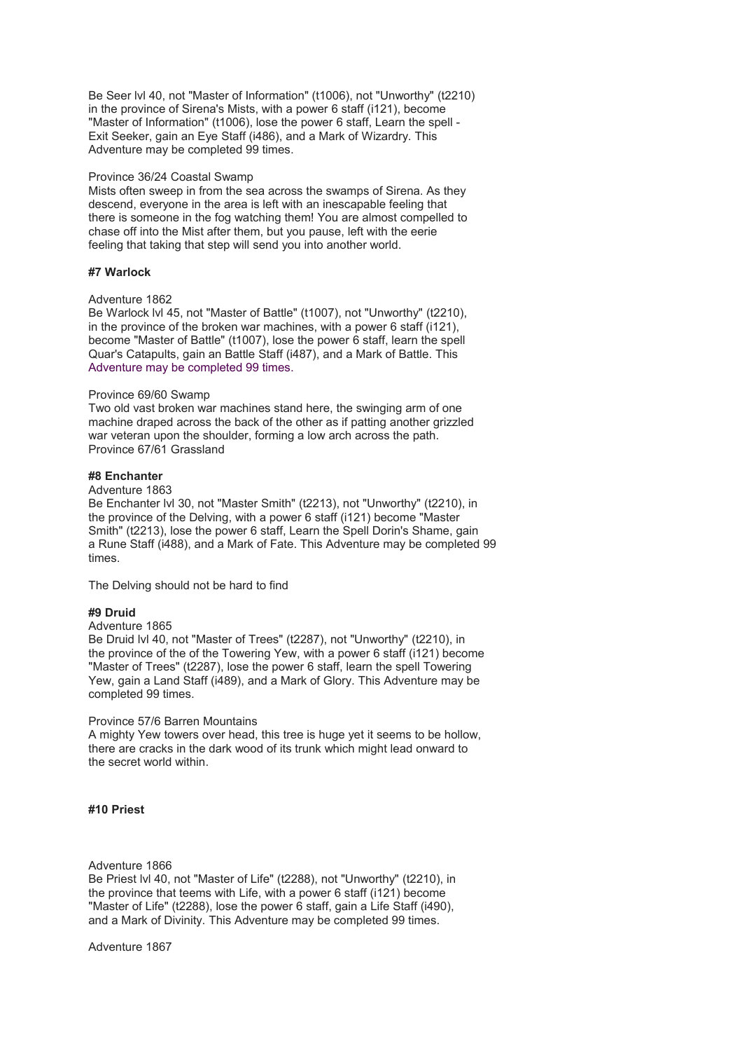Be Seer lvl 40, not "Master of Information" (t1006), not "Unworthy" (t2210) in the province of Sirena's Mists, with a power 6 staff (i121), become "Master of Information" (t1006), lose the power 6 staff, Learn the spell - Exit Seeker, gain an Eye Staff (i486), and a Mark of Wizardry. This Adventure may be completed 99 times.

## Province 36/24 Coastal Swamp

Mists often sweep in from the sea across the swamps of Sirena. As they descend, everyone in the area is left with an inescapable feeling that there is someone in the fog watching them! You are almost compelled to chase off into the Mist after them, but you pause, left with the eerie feeling that taking that step will send you into another world.

# **#7 Warlock**

# Adventure 1862

Be Warlock lvl 45, not "Master of Battle" (t1007), not "Unworthy" (t2210), in the province of the broken war machines, with a power 6 staff (i121), become "Master of Battle" (t1007), lose the power 6 staff, learn the spell Quar's Catapults, gain an Battle Staff (i487), and a Mark of Battle. This Adventure may be completed 99 times.

#### Province 69/60 Swamp

Two old vast broken war machines stand here, the swinging arm of one machine draped across the back of the other as if patting another grizzled war veteran upon the shoulder, forming a low arch across the path. Province 67/61 Grassland

#### **#8 Enchanter**

## Adventure 1863

Be Enchanter lvl 30, not "Master Smith" (t2213), not "Unworthy" (t2210), in the province of the Delving, with a power 6 staff (i121) become "Master Smith" (t2213), lose the power 6 staff, Learn the Spell Dorin's Shame, gain a Rune Staff (i488), and a Mark of Fate. This Adventure may be completed 99 times.

The Delving should not be hard to find

# **#9 Druid**

# Adventure 1865

Be Druid lvl 40, not "Master of Trees" (t2287), not "Unworthy" (t2210), in the province of the of the Towering Yew, with a power 6 staff (i121) become "Master of Trees" (t2287), lose the power 6 staff, learn the spell Towering Yew, gain a Land Staff (i489), and a Mark of Glory. This Adventure may be completed 99 times.

#### Province 57/6 Barren Mountains

A mighty Yew towers over head, this tree is huge yet it seems to be hollow, there are cracks in the dark wood of its trunk which might lead onward to the secret world within.

## **#10 Priest**

## Adventure 1866

Be Priest lvl 40, not "Master of Life" (t2288), not "Unworthy" (t2210), in the province that teems with Life, with a power 6 staff (i121) become "Master of Life" (t2288), lose the power 6 staff, gain a Life Staff (i490), and a Mark of Divinity. This Adventure may be completed 99 times.

Adventure 1867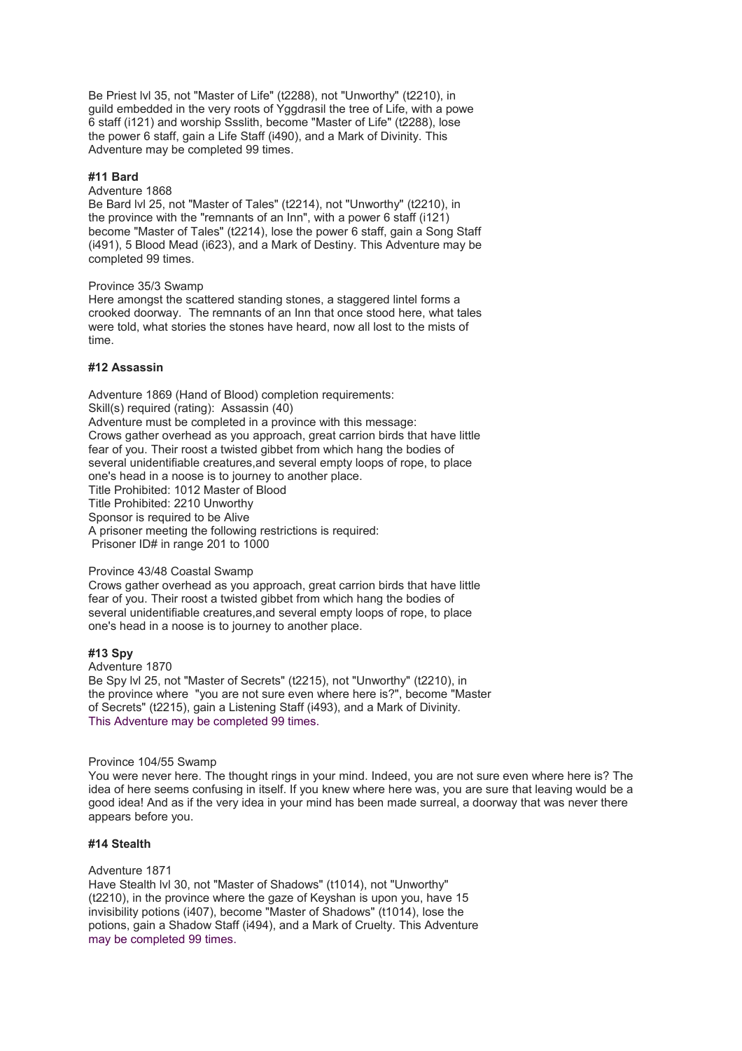Be Priest lvl 35, not "Master of Life" (t2288), not "Unworthy" (t2210), in guild embedded in the very roots of Yggdrasil the tree of Life, with a powe 6 staff (i121) and worship Ssslith, become "Master of Life" (t2288), lose the power 6 staff, gain a Life Staff (i490), and a Mark of Divinity. This Adventure may be completed 99 times.

# **#11 Bard**

## Adventure 1868

Be Bard lvl 25, not "Master of Tales" (t2214), not "Unworthy" (t2210), in the province with the "remnants of an Inn", with a power 6 staff (i121) become "Master of Tales" (t2214), lose the power 6 staff, gain a Song Staff (i491), 5 Blood Mead (i623), and a Mark of Destiny. This Adventure may be completed 99 times.

#### Province 35/3 Swamp

Here amongst the scattered standing stones, a staggered lintel forms a crooked doorway. The remnants of an Inn that once stood here, what tales were told, what stories the stones have heard, now all lost to the mists of time.

## **#12 Assassin**

Adventure 1869 (Hand of Blood) completion requirements: Skill(s) required (rating): Assassin (40) Adventure must be completed in a province with this message: Crows gather overhead as you approach, great carrion birds that have little fear of you. Their roost a twisted gibbet from which hang the bodies of several unidentifiable creatures, and several empty loops of rope, to place one's head in a noose is to journey to another place. Title Prohibited: 1012 Master of Blood Title Prohibited: 2210 Unworthy Sponsor is required to be Alive A prisoner meeting the following restrictions is required: Prisoner ID# in range 201 to 1000

# Province 43/48 Coastal Swamp

Crows gather overhead as you approach, great carrion birds that have little fear of you. Their roost a twisted gibbet from which hang the bodies of several unidentifiable creatures,and several empty loops of rope, to place one's head in a noose is to journey to another place.

# **#13 Spy**

Adventure 1870 Be Spy lvl 25, not "Master of Secrets" (t2215), not "Unworthy" (t2210), in the province where "you are not sure even where here is?", become "Master of Secrets" (t2215), gain a Listening Staff (i493), and a Mark of Divinity. This Adventure may be completed 99 times.

#### Province 104/55 Swamp

You were never here. The thought rings in your mind. Indeed, you are not sure even where here is? The idea of here seems confusing in itself. If you knew where here was, you are sure that leaving would be a good idea! And as if the very idea in your mind has been made surreal, a doorway that was never there appears before you.

# **#14 Stealth**

Adventure 1871

Have Stealth lvl 30, not "Master of Shadows" (t1014), not "Unworthy" (t2210), in the province where the gaze of Keyshan is upon you, have 15 invisibility potions (i407), become "Master of Shadows" (t1014), lose the potions, gain a Shadow Staff (i494), and a Mark of Cruelty. This Adventure may be completed 99 times.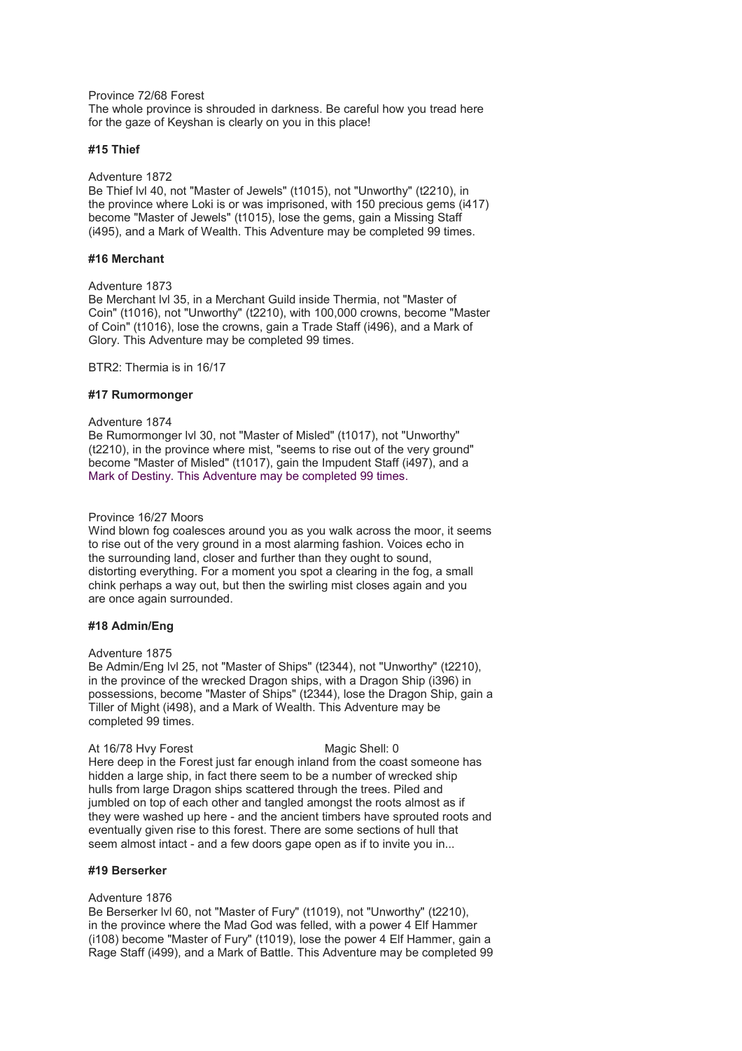Province 72/68 Forest

The whole province is shrouded in darkness. Be careful how you tread here for the gaze of Keyshan is clearly on you in this place!

# **#15 Thief**

#### Adventure 1872

Be Thief lvl 40, not "Master of Jewels" (t1015), not "Unworthy" (t2210), in the province where Loki is or was imprisoned, with 150 precious gems (i417) become "Master of Jewels" (t1015), lose the gems, gain a Missing Staff (i495), and a Mark of Wealth. This Adventure may be completed 99 times.

# **#16 Merchant**

#### Adventure 1873

Be Merchant lvl 35, in a Merchant Guild inside Thermia, not "Master of Coin" (t1016), not "Unworthy" (t2210), with 100,000 crowns, become "Master of Coin" (t1016), lose the crowns, gain a Trade Staff (i496), and a Mark of Glory. This Adventure may be completed 99 times.

BTR2: Thermia is in 16/17

#### **#17 Rumormonger**

#### Adventure 1874

Be Rumormonger lvl 30, not "Master of Misled" (t1017), not "Unworthy" (t2210), in the province where mist, "seems to rise out of the very ground" become "Master of Misled" (t1017), gain the Impudent Staff (i497), and a Mark of Destiny. This Adventure may be completed 99 times.

### Province 16/27 Moors

Wind blown fog coalesces around you as you walk across the moor, it seems to rise out of the very ground in a most alarming fashion. Voices echo in the surrounding land, closer and further than they ought to sound, distorting everything. For a moment you spot a clearing in the fog, a small chink perhaps a way out, but then the swirling mist closes again and you are once again surrounded.

# **#18 Admin/Eng**

# Adventure 1875

Be Admin/Eng lvl 25, not "Master of Ships" (t2344), not "Unworthy" (t2210), in the province of the wrecked Dragon ships, with a Dragon Ship (i396) in possessions, become "Master of Ships" (t2344), lose the Dragon Ship, gain a Tiller of Might (i498), and a Mark of Wealth. This Adventure may be completed 99 times.

#### At 16/78 Hvy Forest Magic Shell: 0

Here deep in the Forest just far enough inland from the coast someone has hidden a large ship, in fact there seem to be a number of wrecked ship hulls from large Dragon ships scattered through the trees. Piled and jumbled on top of each other and tangled amongst the roots almost as if they were washed up here - and the ancient timbers have sprouted roots and eventually given rise to this forest. There are some sections of hull that seem almost intact - and a few doors gape open as if to invite you in...

## **#19 Berserker**

#### Adventure 1876

Be Berserker lvl 60, not "Master of Fury" (t1019), not "Unworthy" (t2210), in the province where the Mad God was felled, with a power 4 Elf Hammer (i108) become "Master of Fury" (t1019), lose the power 4 Elf Hammer, gain a Rage Staff (i499), and a Mark of Battle. This Adventure may be completed 99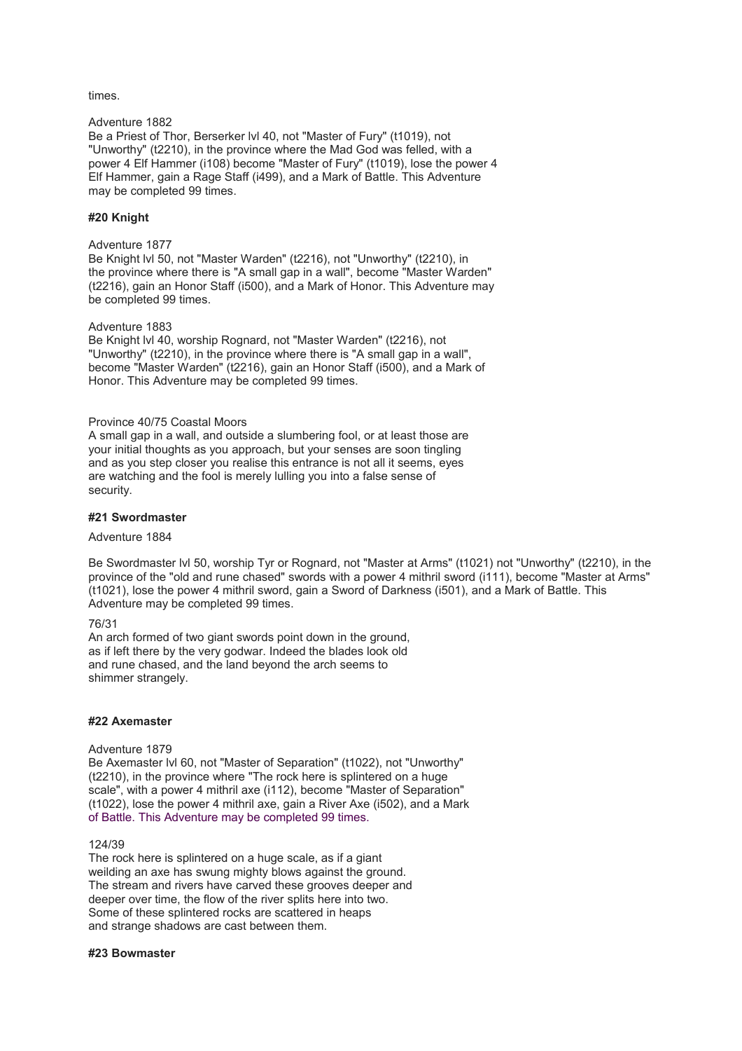# times.

# Adventure 1882

Be a Priest of Thor, Berserker lvl 40, not "Master of Fury" (t1019), not "Unworthy" (t2210), in the province where the Mad God was felled, with a power 4 Elf Hammer (i108) become "Master of Fury" (t1019), lose the power 4 Elf Hammer, gain a Rage Staff (i499), and a Mark of Battle. This Adventure may be completed 99 times.

# **#20 Knight**

#### Adventure 1877

Be Knight lvl 50, not "Master Warden" (t2216), not "Unworthy" (t2210), in the province where there is "A small gap in a wall", become "Master Warden" (t2216), gain an Honor Staff (i500), and a Mark of Honor. This Adventure may be completed 99 times.

# Adventure 1883

Be Knight lvl 40, worship Rognard, not "Master Warden" (t2216), not "Unworthy" (t2210), in the province where there is "A small gap in a wall", become "Master Warden" (t2216), gain an Honor Staff (i500), and a Mark of Honor. This Adventure may be completed 99 times.

## Province 40/75 Coastal Moors

A small gap in a wall, and outside a slumbering fool, or at least those are your initial thoughts as you approach, but your senses are soon tingling and as you step closer you realise this entrance is not all it seems, eyes are watching and the fool is merely lulling you into a false sense of security.

# **#21 Swordmaster**

#### Adventure 1884

Be Swordmaster lvl 50, worship Tyr or Rognard, not "Master at Arms" (t1021) not "Unworthy" (t2210), in the province of the "old and rune chased" swords with a power 4 mithril sword (i111), become "Master at Arms" (t1021), lose the power 4 mithril sword, gain a Sword of Darkness (i501), and a Mark of Battle. This Adventure may be completed 99 times.

# 76/31

An arch formed of two giant swords point down in the ground, as if left there by the very godwar. Indeed the blades look old and rune chased, and the land beyond the arch seems to shimmer strangely.

# **#22 Axemaster**

# Adventure 1879

Be Axemaster lvl 60, not "Master of Separation" (t1022), not "Unworthy" (t2210), in the province where "The rock here is splintered on a huge scale", with a power 4 mithril axe (i112), become "Master of Separation" (t1022), lose the power 4 mithril axe, gain a River Axe (i502), and a Mark of Battle. This Adventure may be completed 99 times.

#### 124/39

The rock here is splintered on a huge scale, as if a giant weilding an axe has swung mighty blows against the ground. The stream and rivers have carved these grooves deeper and deeper over time, the flow of the river splits here into two. Some of these splintered rocks are scattered in heaps and strange shadows are cast between them.

# **#23 Bowmaster**